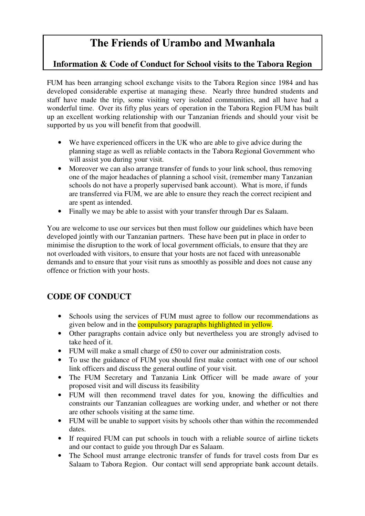# **The Friends of Urambo and Mwanhala**

# **Information & Code of Conduct for School visits to the Tabora Region**

FUM has been arranging school exchange visits to the Tabora Region since 1984 and has developed considerable expertise at managing these. Nearly three hundred students and staff have made the trip, some visiting very isolated communities, and all have had a wonderful time. Over its fifty plus years of operation in the Tabora Region FUM has built up an excellent working relationship with our Tanzanian friends and should your visit be supported by us you will benefit from that goodwill.

- We have experienced officers in the UK who are able to give advice during the planning stage as well as reliable contacts in the Tabora Regional Government who will assist you during your visit.
- Moreover we can also arrange transfer of funds to your link school, thus removing one of the major headaches of planning a school visit, (remember many Tanzanian schools do not have a properly supervised bank account). What is more, if funds are transferred via FUM, we are able to ensure they reach the correct recipient and are spent as intended.
- Finally we may be able to assist with your transfer through Dar es Salaam.

You are welcome to use our services but then must follow our guidelines which have been developed jointly with our Tanzanian partners. These have been put in place in order to minimise the disruption to the work of local government officials, to ensure that they are not overloaded with visitors, to ensure that your hosts are not faced with unreasonable demands and to ensure that your visit runs as smoothly as possible and does not cause any offence or friction with your hosts.

# **CODE OF CONDUCT**

- Schools using the services of FUM must agree to follow our recommendations as given below and in the **compulsory paragraphs highlighted in yellow**.
- Other paragraphs contain advice only but nevertheless you are strongly advised to take heed of it.
- FUM will make a small charge of £50 to cover our administration costs.
- To use the guidance of FUM you should first make contact with one of our school link officers and discuss the general outline of your visit.
- The FUM Secretary and Tanzania Link Officer will be made aware of your proposed visit and will discuss its feasibility
- FUM will then recommend travel dates for you, knowing the difficulties and constraints our Tanzanian colleagues are working under, and whether or not there are other schools visiting at the same time.
- FUM will be unable to support visits by schools other than within the recommended dates.
- If required FUM can put schools in touch with a reliable source of airline tickets and our contact to guide you through Dar es Salaam.
- The School must arrange electronic transfer of funds for travel costs from Dar es Salaam to Tabora Region. Our contact will send appropriate bank account details.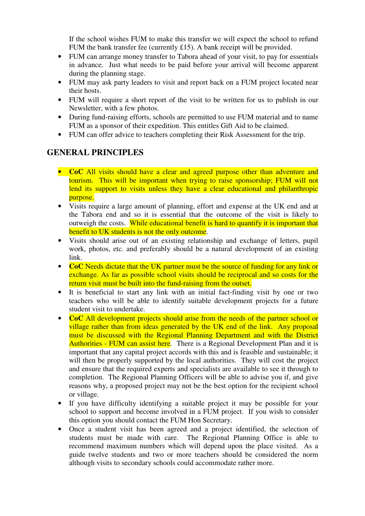If the school wishes FUM to make this transfer we will expect the school to refund FUM the bank transfer fee (currently £15). A bank receipt will be provided.

- FUM can arrange money transfer to Tabora ahead of your visit, to pay for essentials in advance. Just what needs to be paid before your arrival will become apparent during the planning stage.
- FUM may ask party leaders to visit and report back on a FUM project located near their hosts.
- FUM will require a short report of the visit to be written for us to publish in our Newsletter, with a few photos.
- During fund-raising efforts, schools are permitted to use FUM material and to name FUM as a sponsor of their expedition. This entitles Gift Aid to be claimed.
- FUM can offer advice to teachers completing their Risk Assessment for the trip.

### **GENERAL PRINCIPLES**

- **CoC** All visits should have a clear and agreed purpose other than adventure and tourism. This will be important when trying to raise sponsorship; FUM will not lend its support to visits unless they have a clear educational and philanthropic purpose.
- Visits require a large amount of planning, effort and expense at the UK end and at the Tabora end and so it is essential that the outcome of the visit is likely to outweigh the costs. While educational benefit is hard to quantify it is important that benefit to UK students is not the only outcome.
- Visits should arise out of an existing relationship and exchange of letters, pupil work, photos, etc. and preferably should be a natural development of an existing link.
- **CoC** Needs dictate that the UK partner must be the source of funding for any link or exchange. As far as possible school visits should be reciprocal and so costs for the return visit must be built into the fund-raising from the outset.
- It is beneficial to start any link with an initial fact-finding visit by one or two teachers who will be able to identify suitable development projects for a future student visit to undertake.
- **CoC** All development projects should arise from the needs of the partner school or village rather than from ideas generated by the UK end of the link. Any proposal must be discussed with the Regional Planning Department and with the District Authorities - FUM can assist here. There is a Regional Development Plan and it is important that any capital project accords with this and is feasible and sustainable; it will then be properly supported by the local authorities. They will cost the project and ensure that the required experts and specialists are available to see it through to completion. The Regional Planning Officers will be able to advise you if, and give reasons why, a proposed project may not be the best option for the recipient school or village.
- If you have difficulty identifying a suitable project it may be possible for your school to support and become involved in a FUM project. If you wish to consider this option you should contact the FUM Hon Secretary.
- Once a student visit has been agreed and a project identified, the selection of students must be made with care. The Regional Planning Office is able to recommend maximum numbers which will depend upon the place visited. As a guide twelve students and two or more teachers should be considered the norm although visits to secondary schools could accommodate rather more.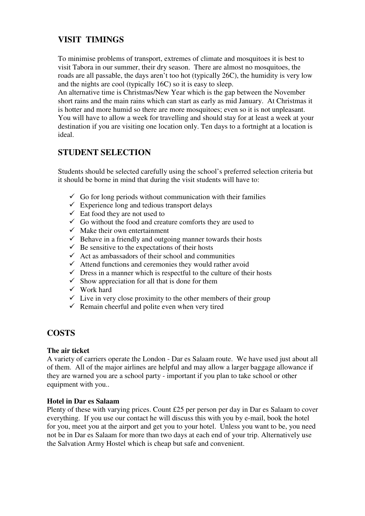# **VISIT TIMINGS**

To minimise problems of transport, extremes of climate and mosquitoes it is best to visit Tabora in our summer, their dry season. There are almost no mosquitoes, the roads are all passable, the days aren't too hot (typically 26C), the humidity is very low and the nights are cool (typically 16C) so it is easy to sleep.

An alternative time is Christmas/New Year which is the gap between the November short rains and the main rains which can start as early as mid January. At Christmas it is hotter and more humid so there are more mosquitoes; even so it is not unpleasant. You will have to allow a week for travelling and should stay for at least a week at your destination if you are visiting one location only. Ten days to a fortnight at a location is ideal.

# **STUDENT SELECTION**

Students should be selected carefully using the school's preferred selection criteria but it should be borne in mind that during the visit students will have to:

- $\checkmark$  Go for long periods without communication with their families
- $\checkmark$  Experience long and tedious transport delays
- $\checkmark$  Eat food they are not used to
- $\checkmark$  Go without the food and creature comforts they are used to
- $\checkmark$  Make their own entertainment
- $\checkmark$  Behave in a friendly and outgoing manner towards their hosts
- $\checkmark$  Be sensitive to the expectations of their hosts
- $\checkmark$  Act as ambassadors of their school and communities
- $\checkmark$  Attend functions and ceremonies they would rather avoid
- $\checkmark$  Dress in a manner which is respectful to the culture of their hosts
- $\checkmark$  Show appreciation for all that is done for them
- $\checkmark$  Work hard
- $\checkmark$  Live in very close proximity to the other members of their group
- $\checkmark$  Remain cheerful and polite even when very tired

# **COSTS**

#### **The air ticket**

A variety of carriers operate the London - Dar es Salaam route. We have used just about all of them. All of the major airlines are helpful and may allow a larger baggage allowance if they are warned you are a school party - important if you plan to take school or other equipment with you..

#### **Hotel in Dar es Salaam**

Plenty of these with varying prices. Count £25 per person per day in Dar es Salaam to cover everything. If you use our contact he will discuss this with you by e-mail, book the hotel for you, meet you at the airport and get you to your hotel. Unless you want to be, you need not be in Dar es Salaam for more than two days at each end of your trip. Alternatively use the Salvation Army Hostel which is cheap but safe and convenient.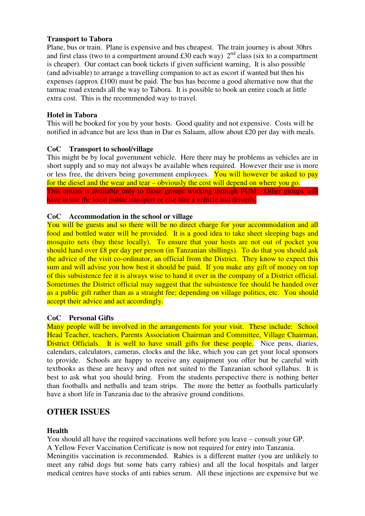#### **Transport to Tabora**

Plane, bus or train. Plane is expensive and bus cheapest. The train journey is about 30hrs and first class (two to a compartment around £30 each way)  $2<sup>nd</sup>$  class (six to a compartment is cheaper). Our contact can book tickets if given sufficient warning, It is also possible (and advisable) to arrange a travelling companion to act as escort if wanted but then his expenses (approx £100) must be paid. The bus has become a good alternative now that the tarmac road extends all the way to Tabora. It is possible to book an entire coach at little extra cost. This is the recommended way to travel.

#### **Hotel in Tabora**

This will be booked for you by your hosts. Good quality and not expensive. Costs will be notified in advance but are less than in Dar es Salaam, allow about £20 per day with meals.

#### **CoC Transport to school/village**

This might be by local government vehicle. Here there may be problems as vehicles are in short supply and so may not always be available when required. However their use is more or less free, the drivers being government employees. You will however be asked to pay for the diesel and the wear and tear – obviously the cost will depend on where you go. This option is available only to those groups working through FUM. Other groups will have to use the local public transport or else hire a vehicle and driver/s.

#### **CoC Accommodation in the school or village**

You will be guests and so there will be no direct charge for your accommodation and all food and bottled water will be provided. It is a good idea to take sheet sleeping bags and mosquito nets (buy these locally). To ensure that your hosts are not out of pocket you should hand over £8 per day per person (in Tanzanian shillings). To do that you should ask the advice of the visit co-ordinator, an official from the District. They know to expect this sum and will advise you how best it should be paid. If you make any gift of money on top of this subsistence fee it is always wise to hand it over in the company of a District official. Sometimes the District official may suggest that the subsistence fee should be handed over as a public gift rather than as a straight fee; depending on village politics, etc. You should accept their advice and act accordingly.

#### **CoC Personal Gifts**

Many people will be involved in the arrangements for your visit. These include: School Head Teacher, teachers, Parents Association Chairman and Committee, Village Chairman, District Officials. It is well to have small gifts for these people. Nice pens, diaries, calendars, calculators, cameras, clocks and the like, which you can get your local sponsors to provide. Schools are happy to receive any equipment you offer but be careful with textbooks as these are heavy and often not suited to the Tanzanian school syllabus. It is best to ask what you should bring. From the students perspective there is nothing better than footballs and netballs and team strips. The more the better as footballs particularly have a short life in Tanzania due to the abrasive ground conditions.

# **OTHER ISSUES**

#### **Health**

You should all have the required vaccinations well before you leave – consult your GP. A Yellow Fever Vaccination Certificate is now not required for entry into Tanzania. Meningitis vaccination is recommended. Rabies is a different matter (you are unlikely to meet any rabid dogs but some bats carry rabies) and all the local hospitals and larger medical centres have stocks of anti rabies serum. All these injections are expensive but we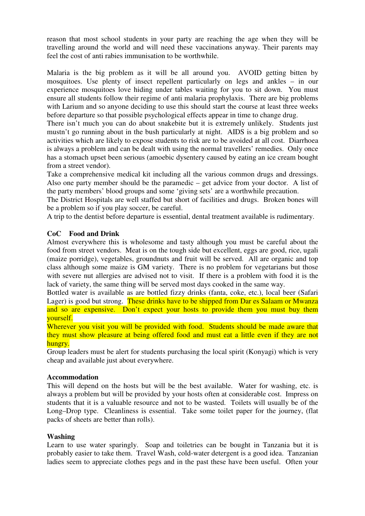reason that most school students in your party are reaching the age when they will be travelling around the world and will need these vaccinations anyway. Their parents may feel the cost of anti rabies immunisation to be worthwhile.

Malaria is the big problem as it will be all around you. AVOID getting bitten by mosquitoes. Use plenty of insect repellent particularly on legs and ankles – in our experience mosquitoes love hiding under tables waiting for you to sit down. You must ensure all students follow their regime of anti malaria prophylaxis. There are big problems with Larium and so anyone deciding to use this should start the course at least three weeks before departure so that possible psychological effects appear in time to change drug.

There isn't much you can do about snakebite but it is extremely unlikely. Students just mustn't go running about in the bush particularly at night. AIDS is a big problem and so activities which are likely to expose students to risk are to be avoided at all cost. Diarrhoea is always a problem and can be dealt with using the normal travellers' remedies. Only once has a stomach upset been serious (amoebic dysentery caused by eating an ice cream bought from a street vendor).

Take a comprehensive medical kit including all the various common drugs and dressings. Also one party member should be the paramedic – get advice from your doctor. A list of the party members' blood groups and some 'giving sets' are a worthwhile precaution.

The District Hospitals are well staffed but short of facilities and drugs. Broken bones will be a problem so if you play soccer, be careful.

A trip to the dentist before departure is essential, dental treatment available is rudimentary.

#### **CoC Food and Drink**

Almost everywhere this is wholesome and tasty although you must be careful about the food from street vendors. Meat is on the tough side but excellent, eggs are good, rice, ugali (maize porridge), vegetables, groundnuts and fruit will be served. All are organic and top class although some maize is GM variety. There is no problem for vegetarians but those with severe nut allergies are advised not to visit. If there is a problem with food it is the lack of variety, the same thing will be served most days cooked in the same way.

Bottled water is available as are bottled fizzy drinks (fanta, coke, etc.), local beer (Safari Lager) is good but strong. These drinks have to be shipped from Dar es Salaam or Mwanza and so are expensive. Don't expect your hosts to provide them you must buy them yourself.

Wherever you visit you will be provided with food. Students should be made aware that they must show pleasure at being offered food and must eat a little even if they are not hungry.

Group leaders must be alert for students purchasing the local spirit (Konyagi) which is very cheap and available just about everywhere.

#### **Accommodation**

This will depend on the hosts but will be the best available. Water for washing, etc. is always a problem but will be provided by your hosts often at considerable cost. Impress on students that it is a valuable resource and not to be wasted. Toilets will usually be of the Long–Drop type. Cleanliness is essential. Take some toilet paper for the journey, (flat packs of sheets are better than rolls).

#### **Washing**

Learn to use water sparingly. Soap and toiletries can be bought in Tanzania but it is probably easier to take them. Travel Wash, cold-water detergent is a good idea. Tanzanian ladies seem to appreciate clothes pegs and in the past these have been useful. Often your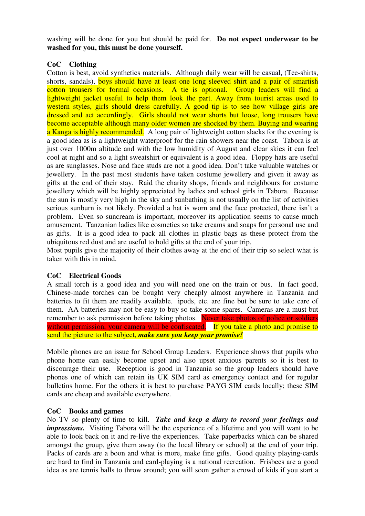washing will be done for you but should be paid for. **Do not expect underwear to be washed for you, this must be done yourself.** 

#### **CoC Clothing**

Cotton is best, avoid synthetics materials. Although daily wear will be casual, (Tee-shirts, shorts, sandals), boys should have at least one long sleeved shirt and a pair of smartish cotton trousers for formal occasions. A tie is optional. Group leaders will find a lightweight jacket useful to help them look the part. Away from tourist areas used to western styles, girls should dress carefully. A good tip is to see how village girls are dressed and act accordingly. Girls should not wear shorts but loose, long trousers have become acceptable although many older women are shocked by them. Buying and wearing a Kanga is highly recommended. A long pair of lightweight cotton slacks for the evening is a good idea as is a lightweight waterproof for the rain showers near the coast. Tabora is at just over 1000m altitude and with the low humidity of August and clear skies it can feel cool at night and so a light sweatshirt or equivalent is a good idea. Floppy hats are useful as are sunglasses. Nose and face studs are not a good idea. Don't take valuable watches or jewellery. In the past most students have taken costume jewellery and given it away as gifts at the end of their stay. Raid the charity shops, friends and neighbours for costume jewellery which will be highly appreciated by ladies and school girls in Tabora. Because the sun is mostly very high in the sky and sunbathing is not usually on the list of activities serious sunburn is not likely. Provided a hat is worn and the face protected, there isn't a problem. Even so suncream is important, moreover its application seems to cause much amusement. Tanzanian ladies like cosmetics so take creams and soaps for personal use and as gifts. It is a good idea to pack all clothes in plastic bags as these protect from the ubiquitous red dust and are useful to hold gifts at the end of your trip.

Most pupils give the majority of their clothes away at the end of their trip so select what is taken with this in mind.

#### **CoC Electrical Goods**

A small torch is a good idea and you will need one on the train or bus. In fact good, Chinese-made torches can be bought very cheaply almost anywhere in Tanzania and batteries to fit them are readily available. ipods, etc. are fine but be sure to take care of them. AA batteries may not be easy to buy so take some spares. Cameras are a must but remember to ask permission before taking photos. Never take photos of police or soldiers without permission, your camera will be confiscated. If you take a photo and promise to send the picture to the subject, *make sure you keep your promise!* 

Mobile phones are an issue for School Group Leaders. Experience shows that pupils who phone home can easily become upset and also upset anxious parents so it is best to discourage their use. Reception is good in Tanzania so the group leaders should have phones one of which can retain its UK SIM card as emergency contact and for regular bulletins home. For the others it is best to purchase PAYG SIM cards locally; these SIM cards are cheap and available everywhere.

#### **CoC Books and games**

No TV so plenty of time to kill. *Take and keep a diary to record your feelings and impressions.* Visiting Tabora will be the experience of a lifetime and you will want to be able to look back on it and re-live the experiences. Take paperbacks which can be shared amongst the group, give them away (to the local library or school) at the end of your trip. Packs of cards are a boon and what is more, make fine gifts. Good quality playing-cards are hard to find in Tanzania and card-playing is a national recreation. Frisbees are a good idea as are tennis balls to throw around; you will soon gather a crowd of kids if you start a